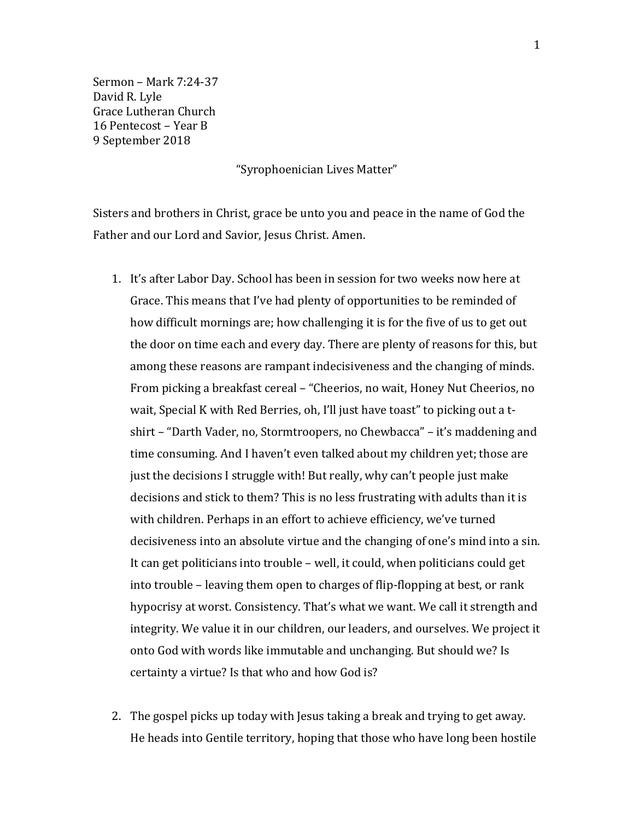Sermon – Mark 7:24-37 David R. Lyle Grace Lutheran Church 16 Pentecost – Year B 9 September 2018

"Syrophoenician Lives Matter"

Sisters and brothers in Christ, grace be unto you and peace in the name of God the Father and our Lord and Savior, Jesus Christ. Amen.

- 1. It's after Labor Day. School has been in session for two weeks now here at Grace. This means that I've had plenty of opportunities to be reminded of how difficult mornings are; how challenging it is for the five of us to get out the door on time each and every day. There are plenty of reasons for this, but among these reasons are rampant indecisiveness and the changing of minds. From picking a breakfast cereal – "Cheerios, no wait, Honey Nut Cheerios, no wait, Special K with Red Berries, oh, I'll just have toast" to picking out a tshirt – "Darth Vader, no, Stormtroopers, no Chewbacca" – it's maddening and time consuming. And I haven't even talked about my children yet; those are just the decisions I struggle with! But really, why can't people just make decisions and stick to them? This is no less frustrating with adults than it is with children. Perhaps in an effort to achieve efficiency, we've turned decisiveness into an absolute virtue and the changing of one's mind into a sin. It can get politicians into trouble – well, it could, when politicians could get into trouble – leaving them open to charges of flip-flopping at best, or rank hypocrisy at worst. Consistency. That's what we want. We call it strength and integrity. We value it in our children, our leaders, and ourselves. We project it onto God with words like immutable and unchanging. But should we? Is certainty a virtue? Is that who and how God is?
- 2. The gospel picks up today with Jesus taking a break and trying to get away. He heads into Gentile territory, hoping that those who have long been hostile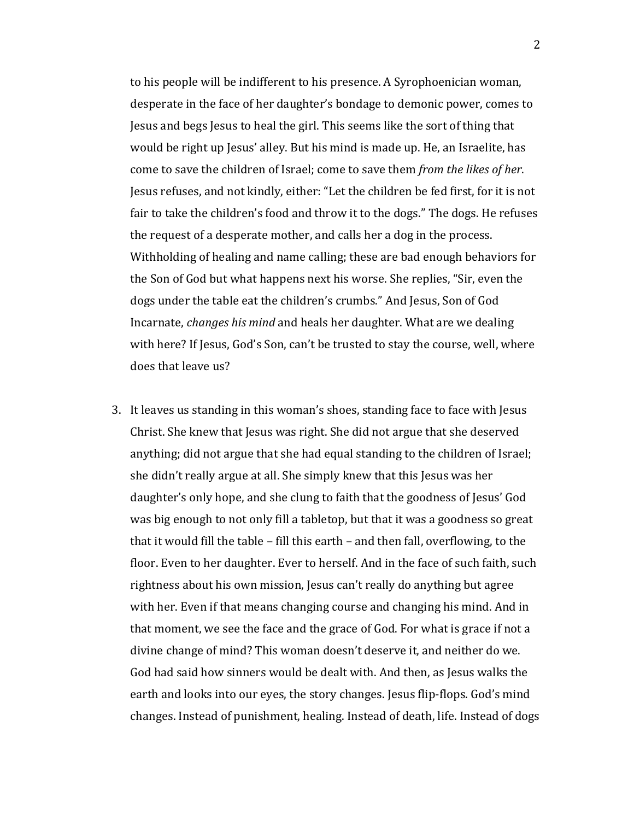to his people will be indifferent to his presence. A Syrophoenician woman, desperate in the face of her daughter's bondage to demonic power, comes to Jesus and begs Jesus to heal the girl. This seems like the sort of thing that would be right up Jesus' alley. But his mind is made up. He, an Israelite, has come to save the children of Israel; come to save them *from the likes of her*. Jesus refuses, and not kindly, either: "Let the children be fed first, for it is not fair to take the children's food and throw it to the dogs." The dogs. He refuses the request of a desperate mother, and calls her a dog in the process. Withholding of healing and name calling; these are bad enough behaviors for the Son of God but what happens next his worse. She replies, "Sir, even the dogs under the table eat the children's crumbs." And Jesus, Son of God Incarnate, *changes his mind* and heals her daughter. What are we dealing with here? If Jesus, God's Son, can't be trusted to stay the course, well, where does that leave us?

3. It leaves us standing in this woman's shoes, standing face to face with Jesus Christ. She knew that Jesus was right. She did not argue that she deserved anything; did not argue that she had equal standing to the children of Israel; she didn't really argue at all. She simply knew that this Jesus was her daughter's only hope, and she clung to faith that the goodness of Jesus' God was big enough to not only fill a tabletop, but that it was a goodness so great that it would fill the table – fill this earth – and then fall, overflowing, to the floor. Even to her daughter. Ever to herself. And in the face of such faith, such rightness about his own mission, Jesus can't really do anything but agree with her. Even if that means changing course and changing his mind. And in that moment, we see the face and the grace of God. For what is grace if not a divine change of mind? This woman doesn't deserve it, and neither do we. God had said how sinners would be dealt with. And then, as Jesus walks the earth and looks into our eyes, the story changes. Jesus flip-flops. God's mind changes. Instead of punishment, healing. Instead of death, life. Instead of dogs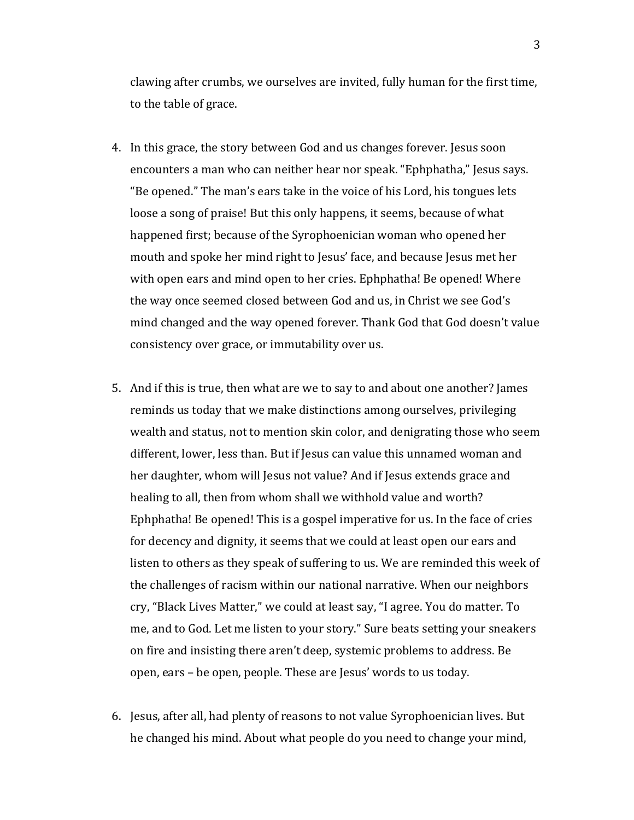clawing after crumbs, we ourselves are invited, fully human for the first time, to the table of grace.

- 4. In this grace, the story between God and us changes forever. Jesus soon encounters a man who can neither hear nor speak. "Ephphatha," Jesus says. "Be opened." The man's ears take in the voice of his Lord, his tongues lets loose a song of praise! But this only happens, it seems, because of what happened first; because of the Syrophoenician woman who opened her mouth and spoke her mind right to Jesus' face, and because Jesus met her with open ears and mind open to her cries. Ephphatha! Be opened! Where the way once seemed closed between God and us, in Christ we see God's mind changed and the way opened forever. Thank God that God doesn't value consistency over grace, or immutability over us.
- 5. And if this is true, then what are we to say to and about one another? James reminds us today that we make distinctions among ourselves, privileging wealth and status, not to mention skin color, and denigrating those who seem different, lower, less than. But if Jesus can value this unnamed woman and her daughter, whom will Jesus not value? And if Jesus extends grace and healing to all, then from whom shall we withhold value and worth? Ephphatha! Be opened! This is a gospel imperative for us. In the face of cries for decency and dignity, it seems that we could at least open our ears and listen to others as they speak of suffering to us. We are reminded this week of the challenges of racism within our national narrative. When our neighbors cry, "Black Lives Matter," we could at least say, "I agree. You do matter. To me, and to God. Let me listen to your story." Sure beats setting your sneakers on fire and insisting there aren't deep, systemic problems to address. Be open, ears – be open, people. These are Jesus' words to us today.
- 6. Jesus, after all, had plenty of reasons to not value Syrophoenician lives. But he changed his mind. About what people do you need to change your mind,